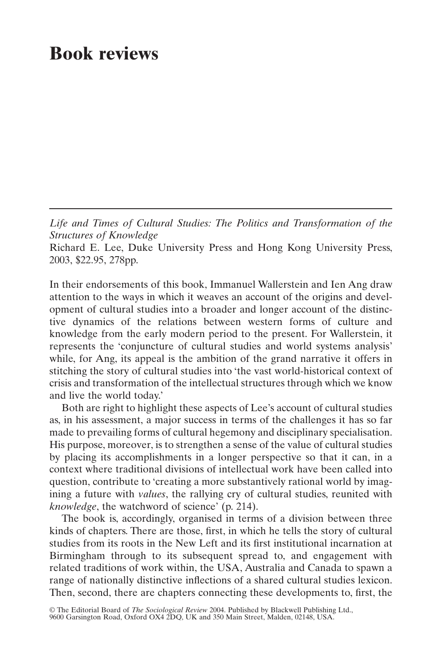*Life and Times of Cultural Studies: The Politics and Transformation of the Structures of Knowledge*

Richard E. Lee, Duke University Press and Hong Kong University Press, 2003, \$22.95, 278pp.

In their endorsements of this book, Immanuel Wallerstein and Ien Ang draw attention to the ways in which it weaves an account of the origins and development of cultural studies into a broader and longer account of the distinctive dynamics of the relations between western forms of culture and knowledge from the early modern period to the present. For Wallerstein, it represents the 'conjuncture of cultural studies and world systems analysis' while, for Ang, its appeal is the ambition of the grand narrative it offers in stitching the story of cultural studies into 'the vast world-historical context of crisis and transformation of the intellectual structures through which we know and live the world today.'

Both are right to highlight these aspects of Lee's account of cultural studies as, in his assessment, a major success in terms of the challenges it has so far made to prevailing forms of cultural hegemony and disciplinary specialisation. His purpose, moreover, is to strengthen a sense of the value of cultural studies by placing its accomplishments in a longer perspective so that it can, in a context where traditional divisions of intellectual work have been called into question, contribute to 'creating a more substantively rational world by imagining a future with *values*, the rallying cry of cultural studies, reunited with *knowledge*, the watchword of science' (p. 214).

The book is, accordingly, organised in terms of a division between three kinds of chapters. There are those, first, in which he tells the story of cultural studies from its roots in the New Left and its first institutional incarnation at Birmingham through to its subsequent spread to, and engagement with related traditions of work within, the USA, Australia and Canada to spawn a range of nationally distinctive inflections of a shared cultural studies lexicon. Then, second, there are chapters connecting these developments to, first, the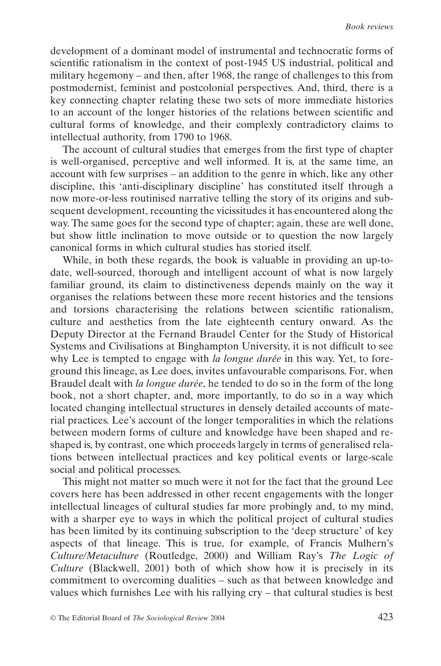development of a dominant model of instrumental and technocratic forms of scientific rationalism in the context of post-1945 US industrial, political and military hegemony – and then, after 1968, the range of challenges to this from postmodernist, feminist and postcolonial perspectives. And, third, there is a key connecting chapter relating these two sets of more immediate histories to an account of the longer histories of the relations between scientific and cultural forms of knowledge, and their complexly contradictory claims to intellectual authority, from 1790 to 1968.

The account of cultural studies that emerges from the first type of chapter is well-organised, perceptive and well informed. It is, at the same time, an account with few surprises – an addition to the genre in which, like any other discipline, this 'anti-disciplinary discipline' has constituted itself through a now more-or-less routinised narrative telling the story of its origins and subsequent development, recounting the vicissitudes it has encountered along the way. The same goes for the second type of chapter; again, these are well done, but show little inclination to move outside or to question the now largely canonical forms in which cultural studies has storied itself.

While, in both these regards, the book is valuable in providing an up-todate, well-sourced, thorough and intelligent account of what is now largely familiar ground, its claim to distinctiveness depends mainly on the way it organises the relations between these more recent histories and the tensions and torsions characterising the relations between scientific rationalism, culture and aesthetics from the late eighteenth century onward. As the Deputy Director at the Fernand Braudel Center for the Study of Historical Systems and Civilisations at Binghampton University, it is not difficult to see why Lee is tempted to engage with *la longue durée* in this way. Yet, to foreground this lineage, as Lee does, invites unfavourable comparisons. For, when Braudel dealt with *la longue durée*, he tended to do so in the form of the long book, not a short chapter, and, more importantly, to do so in a way which located changing intellectual structures in densely detailed accounts of material practices. Lee's account of the longer temporalities in which the relations between modern forms of culture and knowledge have been shaped and reshaped is, by contrast, one which proceeds largely in terms of generalised relations between intellectual practices and key political events or large-scale social and political processes.

This might not matter so much were it not for the fact that the ground Lee covers here has been addressed in other recent engagements with the longer intellectual lineages of cultural studies far more probingly and, to my mind, with a sharper eye to ways in which the political project of cultural studies has been limited by its continuing subscription to the 'deep structure' of key aspects of that lineage. This is true, for example, of Francis Mulhern's *Culture/Metaculture* (Routledge, 2000) and William Ray's *The Logic of Culture* (Blackwell, 2001) both of which show how it is precisely in its commitment to overcoming dualities – such as that between knowledge and values which furnishes Lee with his rallying cry – that cultural studies is best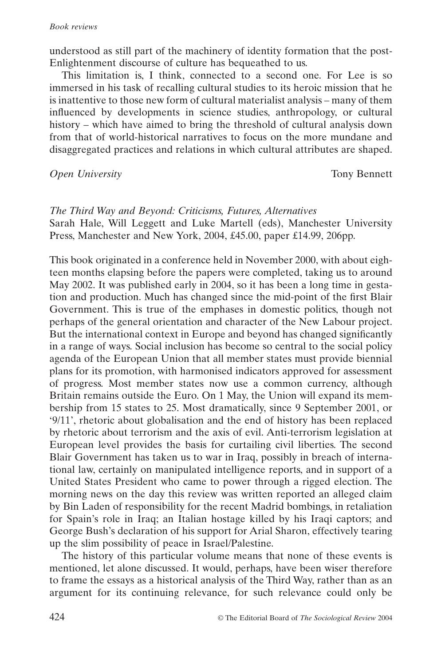understood as still part of the machinery of identity formation that the post-Enlightenment discourse of culture has bequeathed to us.

This limitation is, I think, connected to a second one. For Lee is so immersed in his task of recalling cultural studies to its heroic mission that he is inattentive to those new form of cultural materialist analysis – many of them influenced by developments in science studies, anthropology, or cultural history – which have aimed to bring the threshold of cultural analysis down from that of world-historical narratives to focus on the more mundane and disaggregated practices and relations in which cultural attributes are shaped.

## *Open University* Tony Bennett

*The Third Way and Beyond: Criticisms, Futures, Alternatives* Sarah Hale, Will Leggett and Luke Martell (eds), Manchester University Press, Manchester and New York, 2004, £45.00, paper £14.99, 206pp.

This book originated in a conference held in November 2000, with about eighteen months elapsing before the papers were completed, taking us to around May 2002. It was published early in 2004, so it has been a long time in gestation and production. Much has changed since the mid-point of the first Blair Government. This is true of the emphases in domestic politics, though not perhaps of the general orientation and character of the New Labour project. But the international context in Europe and beyond has changed significantly in a range of ways. Social inclusion has become so central to the social policy agenda of the European Union that all member states must provide biennial plans for its promotion, with harmonised indicators approved for assessment of progress. Most member states now use a common currency, although Britain remains outside the Euro. On 1 May, the Union will expand its membership from 15 states to 25. Most dramatically, since 9 September 2001, or '9/11', rhetoric about globalisation and the end of history has been replaced by rhetoric about terrorism and the axis of evil. Anti-terrorism legislation at European level provides the basis for curtailing civil liberties. The second Blair Government has taken us to war in Iraq, possibly in breach of international law, certainly on manipulated intelligence reports, and in support of a United States President who came to power through a rigged election. The morning news on the day this review was written reported an alleged claim by Bin Laden of responsibility for the recent Madrid bombings, in retaliation for Spain's role in Iraq; an Italian hostage killed by his Iraqi captors; and George Bush's declaration of his support for Arial Sharon, effectively tearing up the slim possibility of peace in Israel/Palestine.

The history of this particular volume means that none of these events is mentioned, let alone discussed. It would, perhaps, have been wiser therefore to frame the essays as a historical analysis of the Third Way, rather than as an argument for its continuing relevance, for such relevance could only be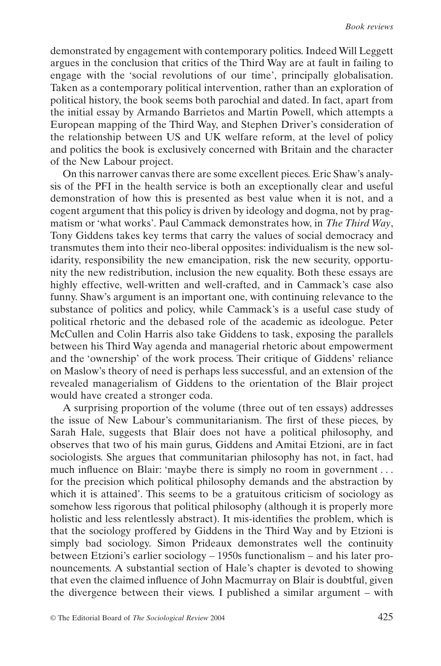demonstrated by engagement with contemporary politics. Indeed Will Leggett argues in the conclusion that critics of the Third Way are at fault in failing to engage with the 'social revolutions of our time', principally globalisation. Taken as a contemporary political intervention, rather than an exploration of political history, the book seems both parochial and dated. In fact, apart from the initial essay by Armando Barrietos and Martin Powell, which attempts a European mapping of the Third Way, and Stephen Driver's consideration of the relationship between US and UK welfare reform, at the level of policy and politics the book is exclusively concerned with Britain and the character of the New Labour project.

On this narrower canvas there are some excellent pieces. Eric Shaw's analysis of the PFI in the health service is both an exceptionally clear and useful demonstration of how this is presented as best value when it is not, and a cogent argument that this policy is driven by ideology and dogma, not by pragmatism or 'what works'. Paul Cammack demonstrates how, in *The Third Way*, Tony Giddens takes key terms that carry the values of social democracy and transmutes them into their neo-liberal opposites: individualism is the new solidarity, responsibility the new emancipation, risk the new security, opportunity the new redistribution, inclusion the new equality. Both these essays are highly effective, well-written and well-crafted, and in Cammack's case also funny. Shaw's argument is an important one, with continuing relevance to the substance of politics and policy, while Cammack's is a useful case study of political rhetoric and the debased role of the academic as ideologue. Peter McCullen and Colin Harris also take Giddens to task, exposing the parallels between his Third Way agenda and managerial rhetoric about empowerment and the 'ownership' of the work process. Their critique of Giddens' reliance on Maslow's theory of need is perhaps less successful, and an extension of the revealed managerialism of Giddens to the orientation of the Blair project would have created a stronger coda.

A surprising proportion of the volume (three out of ten essays) addresses the issue of New Labour's communitarianism. The first of these pieces, by Sarah Hale, suggests that Blair does not have a political philosophy, and observes that two of his main gurus, Giddens and Amitai Etzioni, are in fact sociologists. She argues that communitarian philosophy has not, in fact, had much influence on Blair: 'maybe there is simply no room in government... for the precision which political philosophy demands and the abstraction by which it is attained'. This seems to be a gratuitous criticism of sociology as somehow less rigorous that political philosophy (although it is properly more holistic and less relentlessly abstract). It mis-identifies the problem, which is that the sociology proffered by Giddens in the Third Way and by Etzioni is simply bad sociology. Simon Prideaux demonstrates well the continuity between Etzioni's earlier sociology – 1950s functionalism – and his later pronouncements. A substantial section of Hale's chapter is devoted to showing that even the claimed influence of John Macmurray on Blair is doubtful, given the divergence between their views. I published a similar argument – with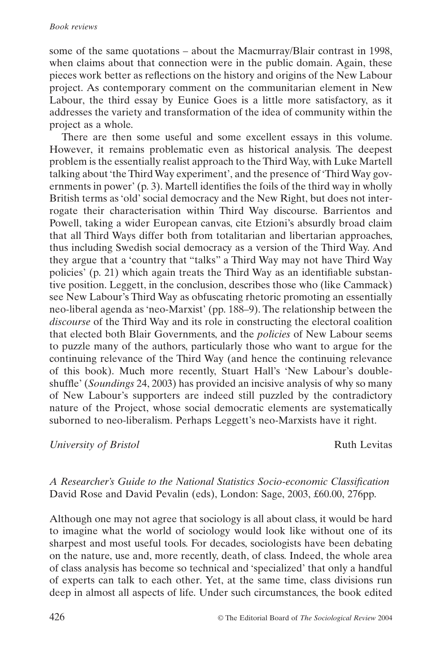some of the same quotations – about the Macmurray/Blair contrast in 1998, when claims about that connection were in the public domain. Again, these pieces work better as reflections on the history and origins of the New Labour project. As contemporary comment on the communitarian element in New Labour, the third essay by Eunice Goes is a little more satisfactory, as it addresses the variety and transformation of the idea of community within the project as a whole.

There are then some useful and some excellent essays in this volume. However, it remains problematic even as historical analysis. The deepest problem is the essentially realist approach to the Third Way, with Luke Martell talking about 'the Third Way experiment', and the presence of 'Third Way governments in power' (p. 3). Martell identifies the foils of the third way in wholly British terms as 'old' social democracy and the New Right, but does not interrogate their characterisation within Third Way discourse. Barrientos and Powell, taking a wider European canvas, cite Etzioni's absurdly broad claim that all Third Ways differ both from totalitarian and libertarian approaches, thus including Swedish social democracy as a version of the Third Way. And they argue that a 'country that "talks" a Third Way may not have Third Way policies' (p. 21) which again treats the Third Way as an identifiable substantive position. Leggett, in the conclusion, describes those who (like Cammack) see New Labour's Third Way as obfuscating rhetoric promoting an essentially neo-liberal agenda as 'neo-Marxist' (pp. 188–9). The relationship between the *discourse* of the Third Way and its role in constructing the electoral coalition that elected both Blair Governments, and the *policies* of New Labour seems to puzzle many of the authors, particularly those who want to argue for the continuing relevance of the Third Way (and hence the continuing relevance of this book). Much more recently, Stuart Hall's 'New Labour's doubleshuffle' (*Soundings* 24, 2003) has provided an incisive analysis of why so many of New Labour's supporters are indeed still puzzled by the contradictory nature of the Project, whose social democratic elements are systematically suborned to neo-liberalism. Perhaps Leggett's neo-Marxists have it right.

# *University of Bristol* **Ruth Levitas Ruth Levitas**

*A Researcher's Guide to the National Statistics Socio-economic Classification* David Rose and David Pevalin (eds), London: Sage, 2003, £60.00, 276pp.

Although one may not agree that sociology is all about class, it would be hard to imagine what the world of sociology would look like without one of its sharpest and most useful tools. For decades, sociologists have been debating on the nature, use and, more recently, death, of class. Indeed, the whole area of class analysis has become so technical and 'specialized' that only a handful of experts can talk to each other. Yet, at the same time, class divisions run deep in almost all aspects of life. Under such circumstances, the book edited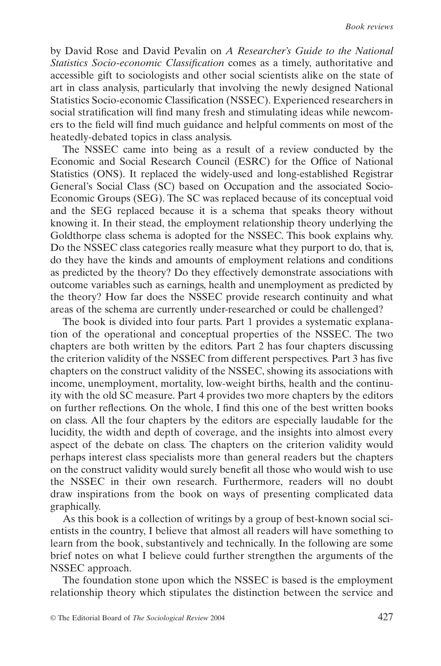by David Rose and David Pevalin on *A Researcher's Guide to the National Statistics Socio-economic Classification* comes as a timely, authoritative and accessible gift to sociologists and other social scientists alike on the state of art in class analysis, particularly that involving the newly designed National Statistics Socio-economic Classification (NSSEC). Experienced researchers in social stratification will find many fresh and stimulating ideas while newcomers to the field will find much guidance and helpful comments on most of the heatedly-debated topics in class analysis.

The NSSEC came into being as a result of a review conducted by the Economic and Social Research Council (ESRC) for the Office of National Statistics (ONS). It replaced the widely-used and long-established Registrar General's Social Class (SC) based on Occupation and the associated Socio-Economic Groups (SEG). The SC was replaced because of its conceptual void and the SEG replaced because it is a schema that speaks theory without knowing it. In their stead, the employment relationship theory underlying the Goldthorpe class schema is adopted for the NSSEC. This book explains why. Do the NSSEC class categories really measure what they purport to do, that is, do they have the kinds and amounts of employment relations and conditions as predicted by the theory? Do they effectively demonstrate associations with outcome variables such as earnings, health and unemployment as predicted by the theory? How far does the NSSEC provide research continuity and what areas of the schema are currently under-researched or could be challenged?

The book is divided into four parts. Part 1 provides a systematic explanation of the operational and conceptual properties of the NSSEC. The two chapters are both written by the editors. Part 2 has four chapters discussing the criterion validity of the NSSEC from different perspectives. Part 3 has five chapters on the construct validity of the NSSEC, showing its associations with income, unemployment, mortality, low-weight births, health and the continuity with the old SC measure. Part 4 provides two more chapters by the editors on further reflections. On the whole, I find this one of the best written books on class. All the four chapters by the editors are especially laudable for the lucidity, the width and depth of coverage, and the insights into almost every aspect of the debate on class. The chapters on the criterion validity would perhaps interest class specialists more than general readers but the chapters on the construct validity would surely benefit all those who would wish to use the NSSEC in their own research. Furthermore, readers will no doubt draw inspirations from the book on ways of presenting complicated data graphically.

As this book is a collection of writings by a group of best-known social scientists in the country, I believe that almost all readers will have something to learn from the book, substantively and technically. In the following are some brief notes on what I believe could further strengthen the arguments of the NSSEC approach.

The foundation stone upon which the NSSEC is based is the employment relationship theory which stipulates the distinction between the service and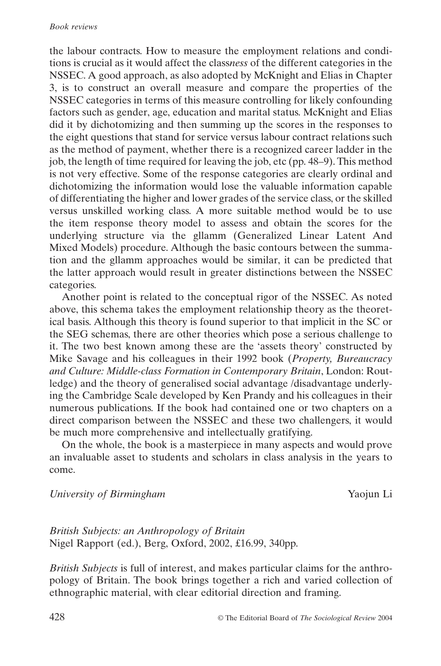the labour contracts. How to measure the employment relations and conditions is crucial as it would affect the class*ness* of the different categories in the NSSEC. A good approach, as also adopted by McKnight and Elias in Chapter 3, is to construct an overall measure and compare the properties of the NSSEC categories in terms of this measure controlling for likely confounding factors such as gender, age, education and marital status. McKnight and Elias did it by dichotomizing and then summing up the scores in the responses to the eight questions that stand for service versus labour contract relations such as the method of payment, whether there is a recognized career ladder in the job, the length of time required for leaving the job, etc (pp. 48–9). This method is not very effective. Some of the response categories are clearly ordinal and dichotomizing the information would lose the valuable information capable of differentiating the higher and lower grades of the service class, or the skilled versus unskilled working class. A more suitable method would be to use the item response theory model to assess and obtain the scores for the underlying structure via the gllamm (Generalized Linear Latent And Mixed Models) procedure. Although the basic contours between the summation and the gllamm approaches would be similar, it can be predicted that the latter approach would result in greater distinctions between the NSSEC categories.

Another point is related to the conceptual rigor of the NSSEC. As noted above, this schema takes the employment relationship theory as the theoretical basis. Although this theory is found superior to that implicit in the SC or the SEG schemas, there are other theories which pose a serious challenge to it. The two best known among these are the 'assets theory' constructed by Mike Savage and his colleagues in their 1992 book (*Property, Bureaucracy and Culture: Middle-class Formation in Contemporary Britain*, London: Routledge) and the theory of generalised social advantage /disadvantage underlying the Cambridge Scale developed by Ken Prandy and his colleagues in their numerous publications. If the book had contained one or two chapters on a direct comparison between the NSSEC and these two challengers, it would be much more comprehensive and intellectually gratifying.

On the whole, the book is a masterpiece in many aspects and would prove an invaluable asset to students and scholars in class analysis in the years to come.

*University of Birmingham* Yaojun Li

*British Subjects: an Anthropology of Britain* Nigel Rapport (ed.), Berg, Oxford, 2002, £16.99, 340pp.

*British Subjects* is full of interest, and makes particular claims for the anthropology of Britain. The book brings together a rich and varied collection of ethnographic material, with clear editorial direction and framing.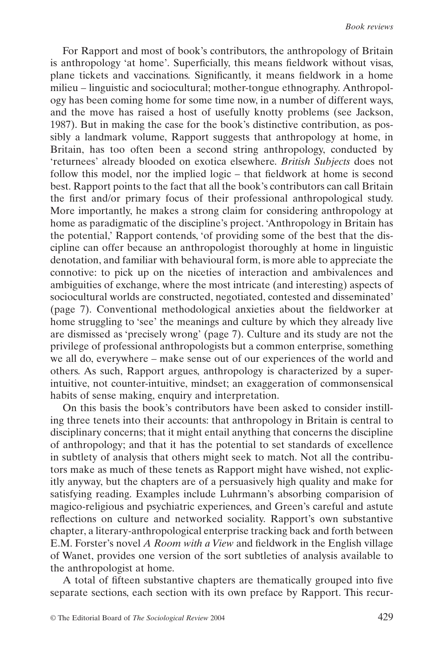For Rapport and most of book's contributors, the anthropology of Britain is anthropology 'at home'. Superficially, this means fieldwork without visas, plane tickets and vaccinations. Significantly, it means fieldwork in a home milieu – linguistic and sociocultural; mother-tongue ethnography. Anthropology has been coming home for some time now, in a number of different ways, and the move has raised a host of usefully knotty problems (see Jackson, 1987). But in making the case for the book's distinctive contribution, as possibly a landmark volume, Rapport suggests that anthropology at home, in Britain, has too often been a second string anthropology, conducted by 'returnees' already blooded on exotica elsewhere. *British Subjects* does not follow this model, nor the implied logic – that fieldwork at home is second best. Rapport points to the fact that all the book's contributors can call Britain the first and/or primary focus of their professional anthropological study. More importantly, he makes a strong claim for considering anthropology at home as paradigmatic of the discipline's project. 'Anthropology in Britain has the potential,' Rapport contends, 'of providing some of the best that the discipline can offer because an anthropologist thoroughly at home in linguistic denotation, and familiar with behavioural form, is more able to appreciate the connotive: to pick up on the niceties of interaction and ambivalences and ambiguities of exchange, where the most intricate (and interesting) aspects of sociocultural worlds are constructed, negotiated, contested and disseminated' (page 7). Conventional methodological anxieties about the fieldworker at home struggling to 'see' the meanings and culture by which they already live are dismissed as 'precisely wrong' (page 7). Culture and its study are not the privilege of professional anthropologists but a common enterprise, something we all do, everywhere – make sense out of our experiences of the world and others. As such, Rapport argues, anthropology is characterized by a superintuitive, not counter-intuitive, mindset; an exaggeration of commonsensical habits of sense making, enquiry and interpretation.

On this basis the book's contributors have been asked to consider instilling three tenets into their accounts: that anthropology in Britain is central to disciplinary concerns; that it might entail anything that concerns the discipline of anthropology; and that it has the potential to set standards of excellence in subtlety of analysis that others might seek to match. Not all the contributors make as much of these tenets as Rapport might have wished, not explicitly anyway, but the chapters are of a persuasively high quality and make for satisfying reading. Examples include Luhrmann's absorbing comparision of magico-religious and psychiatric experiences, and Green's careful and astute reflections on culture and networked sociality. Rapport's own substantive chapter, a literary-anthropological enterprise tracking back and forth between E.M. Forster's novel *A Room with a View* and fieldwork in the English village of Wanet, provides one version of the sort subtleties of analysis available to the anthropologist at home.

A total of fifteen substantive chapters are thematically grouped into five separate sections, each section with its own preface by Rapport. This recur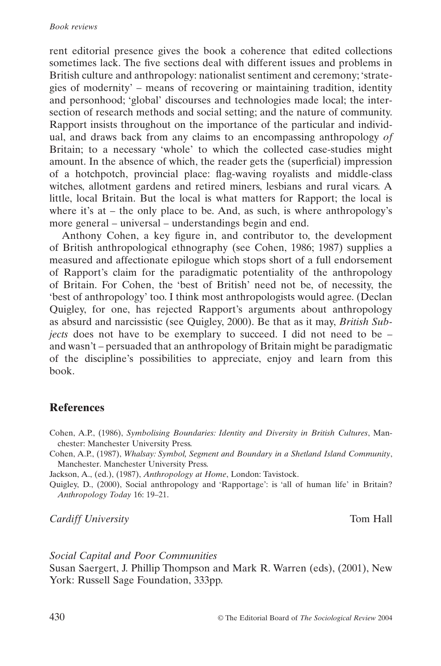rent editorial presence gives the book a coherence that edited collections sometimes lack. The five sections deal with different issues and problems in British culture and anthropology: nationalist sentiment and ceremony; 'strategies of modernity' – means of recovering or maintaining tradition, identity and personhood; 'global' discourses and technologies made local; the intersection of research methods and social setting; and the nature of community. Rapport insists throughout on the importance of the particular and individual, and draws back from any claims to an encompassing anthropology *of* Britain; to a necessary 'whole' to which the collected case-studies might amount. In the absence of which, the reader gets the (superficial) impression of a hotchpotch, provincial place: flag-waving royalists and middle-class witches, allotment gardens and retired miners, lesbians and rural vicars. A little, local Britain. But the local is what matters for Rapport; the local is where it's at  $-$  the only place to be. And, as such, is where anthropology's more general – universal – understandings begin and end.

Anthony Cohen, a key figure in, and contributor to, the development of British anthropological ethnography (see Cohen, 1986; 1987) supplies a measured and affectionate epilogue which stops short of a full endorsement of Rapport's claim for the paradigmatic potentiality of the anthropology of Britain. For Cohen, the 'best of British' need not be, of necessity, the 'best of anthropology' too. I think most anthropologists would agree. (Declan Quigley, for one, has rejected Rapport's arguments about anthropology as absurd and narcissistic (see Quigley, 2000). Be that as it may, *British Subjects* does not have to be exemplary to succeed. I did not need to be – and wasn't – persuaded that an anthropology of Britain might be paradigmatic of the discipline's possibilities to appreciate, enjoy and learn from this book.

# **References**

Cohen, A.P., (1986), *Symbolising Boundaries: Identity and Diversity in British Cultures*, Manchester: Manchester University Press.

Cohen, A.P., (1987), *Whalsay: Symbol, Segment and Boundary in a Shetland Island Community*, Manchester. Manchester University Press.

Jackson, A., (ed.), (1987), *Anthropology at Home*, London: Tavistock.

Quigley, D., (2000), Social anthropology and 'Rapportage': is 'all of human life' in Britain? *Anthropology Today* 16: 19–21.

*Cardiff University* Tom Hall

*Social Capital and Poor Communities*

Susan Saergert, J. Phillip Thompson and Mark R. Warren (eds), (2001), New York: Russell Sage Foundation, 333pp.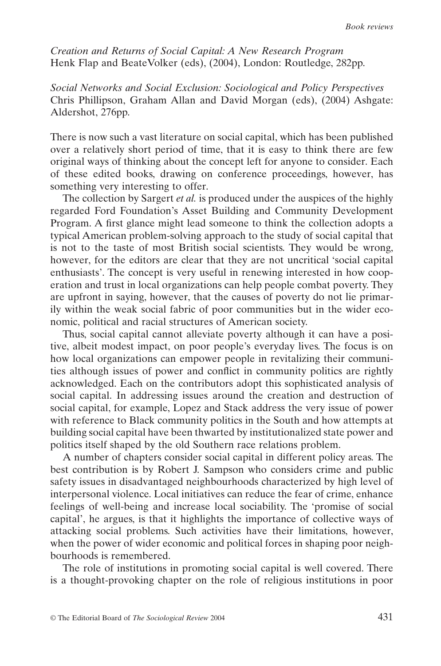*Creation and Returns of Social Capital: A New Research Program* Henk Flap and BeateVolker (eds), (2004), London: Routledge, 282pp.

*Social Networks and Social Exclusion: Sociological and Policy Perspectives* Chris Phillipson, Graham Allan and David Morgan (eds), (2004) Ashgate: Aldershot, 276pp.

There is now such a vast literature on social capital, which has been published over a relatively short period of time, that it is easy to think there are few original ways of thinking about the concept left for anyone to consider. Each of these edited books, drawing on conference proceedings, however, has something very interesting to offer.

The collection by Sargert *et al.* is produced under the auspices of the highly regarded Ford Foundation's Asset Building and Community Development Program. A first glance might lead someone to think the collection adopts a typical American problem-solving approach to the study of social capital that is not to the taste of most British social scientists. They would be wrong, however, for the editors are clear that they are not uncritical 'social capital enthusiasts'. The concept is very useful in renewing interested in how cooperation and trust in local organizations can help people combat poverty. They are upfront in saying, however, that the causes of poverty do not lie primarily within the weak social fabric of poor communities but in the wider economic, political and racial structures of American society.

Thus, social capital cannot alleviate poverty although it can have a positive, albeit modest impact, on poor people's everyday lives. The focus is on how local organizations can empower people in revitalizing their communities although issues of power and conflict in community politics are rightly acknowledged. Each on the contributors adopt this sophisticated analysis of social capital. In addressing issues around the creation and destruction of social capital, for example, Lopez and Stack address the very issue of power with reference to Black community politics in the South and how attempts at building social capital have been thwarted by institutionalized state power and politics itself shaped by the old Southern race relations problem.

A number of chapters consider social capital in different policy areas. The best contribution is by Robert J. Sampson who considers crime and public safety issues in disadvantaged neighbourhoods characterized by high level of interpersonal violence. Local initiatives can reduce the fear of crime, enhance feelings of well-being and increase local sociability. The 'promise of social capital', he argues, is that it highlights the importance of collective ways of attacking social problems. Such activities have their limitations, however, when the power of wider economic and political forces in shaping poor neighbourhoods is remembered.

The role of institutions in promoting social capital is well covered. There is a thought-provoking chapter on the role of religious institutions in poor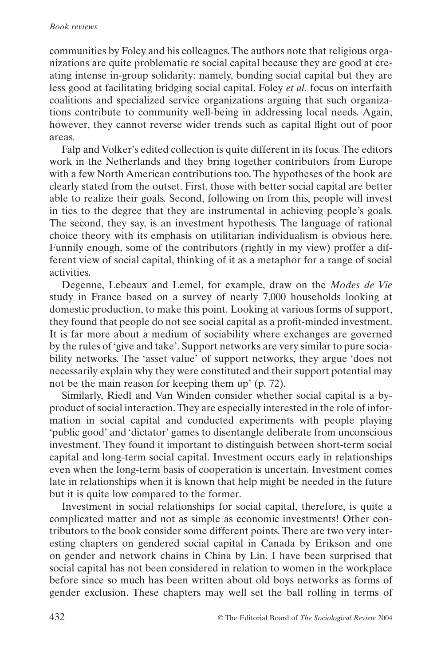communities by Foley and his colleagues. The authors note that religious organizations are quite problematic re social capital because they are good at creating intense in-group solidarity: namely, bonding social capital but they are less good at facilitating bridging social capital. Foley *et al.* focus on interfaith coalitions and specialized service organizations arguing that such organizations contribute to community well-being in addressing local needs. Again, however, they cannot reverse wider trends such as capital flight out of poor areas.

Falp and Volker's edited collection is quite different in its focus. The editors work in the Netherlands and they bring together contributors from Europe with a few North American contributions too. The hypotheses of the book are clearly stated from the outset. First, those with better social capital are better able to realize their goals. Second, following on from this, people will invest in ties to the degree that they are instrumental in achieving people's goals. The second, they say, is an investment hypothesis. The language of rational choice theory with its emphasis on utilitarian individualism is obvious here. Funnily enough, some of the contributors (rightly in my view) proffer a different view of social capital, thinking of it as a metaphor for a range of social activities.

Degenne, Lebeaux and Lemel, for example, draw on the *Modes de Vie* study in France based on a survey of nearly 7,000 households looking at domestic production, to make this point. Looking at various forms of support, they found that people do not see social capital as a profit-minded investment. It is far more about a medium of sociability where exchanges are governed by the rules of 'give and take'. Support networks are very similar to pure sociability networks. The 'asset value' of support networks, they argue 'does not necessarily explain why they were constituted and their support potential may not be the main reason for keeping them up' (p. 72).

Similarly, Riedl and Van Winden consider whether social capital is a byproduct of social interaction. They are especially interested in the role of information in social capital and conducted experiments with people playing 'public good' and 'dictator' games to disentangle deliberate from unconscious investment. They found it important to distinguish between short-term social capital and long-term social capital. Investment occurs early in relationships even when the long-term basis of cooperation is uncertain. Investment comes late in relationships when it is known that help might be needed in the future but it is quite low compared to the former.

Investment in social relationships for social capital, therefore, is quite a complicated matter and not as simple as economic investments! Other contributors to the book consider some different points. There are two very interesting chapters on gendered social capital in Canada by Erikson and one on gender and network chains in China by Lin. I have been surprised that social capital has not been considered in relation to women in the workplace before since so much has been written about old boys networks as forms of gender exclusion. These chapters may well set the ball rolling in terms of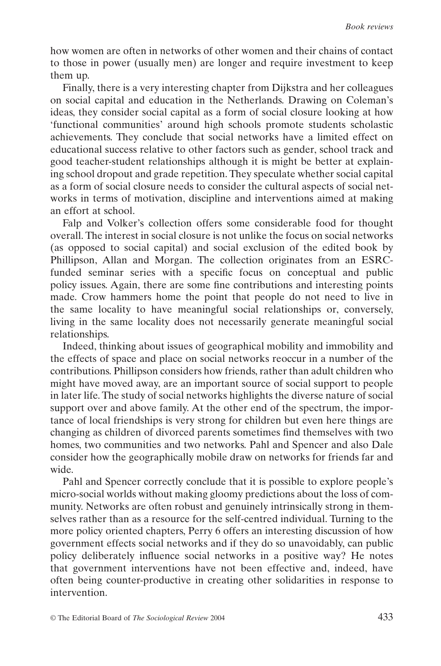how women are often in networks of other women and their chains of contact to those in power (usually men) are longer and require investment to keep them up.

Finally, there is a very interesting chapter from Dijkstra and her colleagues on social capital and education in the Netherlands. Drawing on Coleman's ideas, they consider social capital as a form of social closure looking at how 'functional communities' around high schools promote students scholastic achievements. They conclude that social networks have a limited effect on educational success relative to other factors such as gender, school track and good teacher-student relationships although it is might be better at explaining school dropout and grade repetition. They speculate whether social capital as a form of social closure needs to consider the cultural aspects of social networks in terms of motivation, discipline and interventions aimed at making an effort at school.

Falp and Volker's collection offers some considerable food for thought overall. The interest in social closure is not unlike the focus on social networks (as opposed to social capital) and social exclusion of the edited book by Phillipson, Allan and Morgan. The collection originates from an ESRCfunded seminar series with a specific focus on conceptual and public policy issues. Again, there are some fine contributions and interesting points made. Crow hammers home the point that people do not need to live in the same locality to have meaningful social relationships or, conversely, living in the same locality does not necessarily generate meaningful social relationships.

Indeed, thinking about issues of geographical mobility and immobility and the effects of space and place on social networks reoccur in a number of the contributions. Phillipson considers how friends, rather than adult children who might have moved away, are an important source of social support to people in later life. The study of social networks highlights the diverse nature of social support over and above family. At the other end of the spectrum, the importance of local friendships is very strong for children but even here things are changing as children of divorced parents sometimes find themselves with two homes, two communities and two networks. Pahl and Spencer and also Dale consider how the geographically mobile draw on networks for friends far and wide.

Pahl and Spencer correctly conclude that it is possible to explore people's micro-social worlds without making gloomy predictions about the loss of community. Networks are often robust and genuinely intrinsically strong in themselves rather than as a resource for the self-centred individual. Turning to the more policy oriented chapters, Perry 6 offers an interesting discussion of how government effects social networks and if they do so unavoidably, can public policy deliberately influence social networks in a positive way? He notes that government interventions have not been effective and, indeed, have often being counter-productive in creating other solidarities in response to intervention.